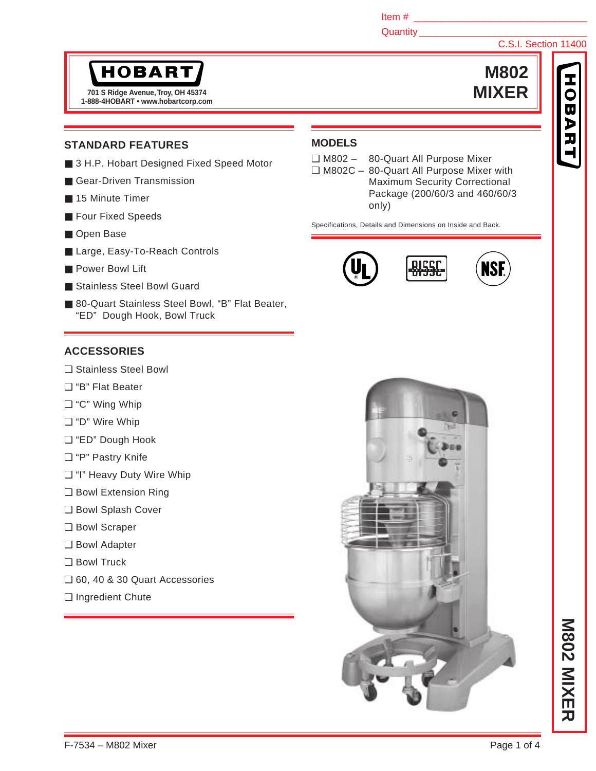Item #

Quantity \_\_\_\_\_

# **HOBART**

**1-888-4HOBART • www.hobartcorp.com 701 S Ridge Avenue, Troy, OH 45374 MIXER**

## **STANDARD FEATURES**

- 3 H.P. Hobart Designed Fixed Speed Motor
- Gear-Driven Transmission
- 15 Minute Timer
- Four Fixed Speeds
- Open Base
- Large, Easy-To-Reach Controls
- Power Bowl Lift
- Stainless Steel Bowl Guard
- 80-Quart Stainless Steel Bowl, "B" Flat Beater, "ED" Dough Hook, Bowl Truck

## **ACCESSORIES**

- ❑ Stainless Steel Bowl
- ❑ "B" Flat Beater
- ❑ "C" Wing Whip
- ❑ "D" Wire Whip
- ❑ "ED" Dough Hook
- ❑ "P" Pastry Knife
- ❑ "I" Heavy Duty Wire Whip
- ❑ Bowl Extension Ring
- ❑ Bowl Splash Cover
- ❑ Bowl Scraper
- ❑ Bowl Adapter
- ❑ Bowl Truck
- ❑ 60, 40 & 30 Quart Accessories
- ❑ Ingredient Chute



- ❑ M802 80-Quart All Purpose Mixer
- ❑ M802C 80-Quart All Purpose Mixer with Maximum Security Correctional Package (200/60/3 and 460/60/3 only)

Specifications, Details and Dimensions on Inside and Back.







**M802**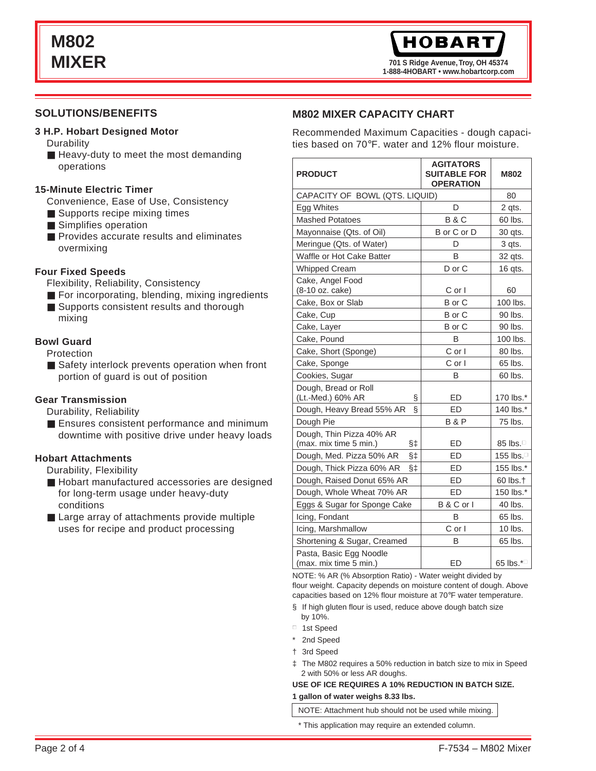**701 S Ridge Avenue, Troy, OH 45374 1-888-4HOBART • www.hobartcorp.com**

### **SOLUTIONS/BENEFITS**

#### **3 H.P. Hobart Designed Motor**

**Durability** 

■ Heavy-duty to meet the most demanding operations

#### **15-Minute Electric Timer**

- Convenience, Ease of Use, Consistency
- Supports recipe mixing times
- Simplifies operation
- Provides accurate results and eliminates overmixing

#### **Four Fixed Speeds**

- Flexibility, Reliability, Consistency
- For incorporating, blending, mixing ingredients
- Supports consistent results and thorough mixing

#### **Bowl Guard**

Protection

■ Safety interlock prevents operation when front portion of guard is out of position

#### **Gear Transmission**

Durability, Reliability

■ Ensures consistent performance and minimum downtime with positive drive under heavy loads

#### **Hobart Attachments**

Durability, Flexibility

- Hobart manufactured accessories are designed for long-term usage under heavy-duty conditions
- Large array of attachments provide multiple uses for recipe and product processing

#### **M802 MIXER CAPACITY CHART**

Recommended Maximum Capacities - dough capacities based on 70°F. water and 12% flour moisture.

| <b>PRODUCT</b>                                              | <b>AGITATORS</b><br><b>SUITABLE FOR</b><br><b>OPERATION</b> | <b>M802</b>                              |
|-------------------------------------------------------------|-------------------------------------------------------------|------------------------------------------|
| CAPACITY OF BOWL (QTS. LIQUID)                              | 80                                                          |                                          |
| Egg Whites                                                  | D                                                           | 2 qts.                                   |
| <b>Mashed Potatoes</b>                                      | <b>B&amp;C</b>                                              | 60 lbs.                                  |
| Mayonnaise (Qts. of Oil)                                    | B or C or D                                                 | 30 qts.                                  |
| Meringue (Qts. of Water)                                    | D                                                           | 3 qts.                                   |
| Waffle or Hot Cake Batter                                   | В                                                           | 32 qts.                                  |
| <b>Whipped Cream</b>                                        | D or C                                                      | 16 qts.                                  |
| Cake, Angel Food<br>(8-10 oz. cake)                         | C or I                                                      | 60                                       |
| Cake, Box or Slab                                           | B or C                                                      | 100 lbs.                                 |
| Cake, Cup                                                   | B or C                                                      | 90 lbs.                                  |
| Cake, Layer                                                 | B or C                                                      | 90 lbs.                                  |
| Cake, Pound                                                 | B                                                           | 100 lbs.                                 |
| Cake, Short (Sponge)                                        | $C$ or $\vert$                                              | 80 lbs.                                  |
| Cake, Sponge                                                | C or I                                                      | 65 lbs.                                  |
| Cookies, Sugar                                              | B                                                           | 60 lbs.                                  |
| Dough, Bread or Roll<br>(Lt.-Med.) 60% AR<br>Ş              | ED                                                          | 170 lbs.*                                |
| ş<br>Dough, Heavy Bread 55% AR                              | <b>ED</b>                                                   | 140 lbs.*                                |
| Dough Pie                                                   | <b>B&amp;P</b>                                              | 75 lbs.                                  |
| Dough, Thin Pizza 40% AR<br>(max. mix time 5 min.)<br>$§$ ‡ | ED                                                          | 85 lbs. $\Box$                           |
| Dough, Med. Pizza 50% AR<br>§‡                              | ED                                                          | 155 lbs. <sup>[1]</sup>                  |
| Dough, Thick Pizza 60% AR<br>§‡                             | ED                                                          | 155 lbs.*                                |
| Dough, Raised Donut 65% AR                                  | <b>ED</b>                                                   | 60 lbs.†                                 |
| Dough, Whole Wheat 70% AR                                   | ED                                                          | 150 lbs.*                                |
| Eggs & Sugar for Sponge Cake                                | B & C or I                                                  | 40 lbs.                                  |
| Icing, Fondant                                              | B                                                           | 65 lbs.                                  |
| Icing, Marshmallow                                          | $C$ or $\vert$                                              | 10 lbs.                                  |
| Shortening & Sugar, Creamed                                 | B                                                           | 65 lbs.                                  |
| Pasta, Basic Egg Noodle<br>(max. mix time 5 min.)           | <b>ED</b>                                                   | 65 lbs. $*$ <sup><math>\Box</math></sup> |

NOTE: % AR (% Absorption Ratio) - Water weight divided by flour weight. Capacity depends on moisture content of dough. Above capacities based on 12% flour moisture at 70°F water temperature.

- § If high gluten flour is used, reduce above dough batch size by 10%.
- 1st Speed
- \* 2nd Speed
- † 3rd Speed
- ‡ The M802 requires a 50% reduction in batch size to mix in Speed 2 with 50% or less AR doughs.

#### **USE OF ICE REQUIRES A 10% REDUCTION IN BATCH SIZE. 1 gallon of water weighs 8.33 lbs.**

NOTE: Attachment hub should not be used while mixing.

\* This application may require an extended column.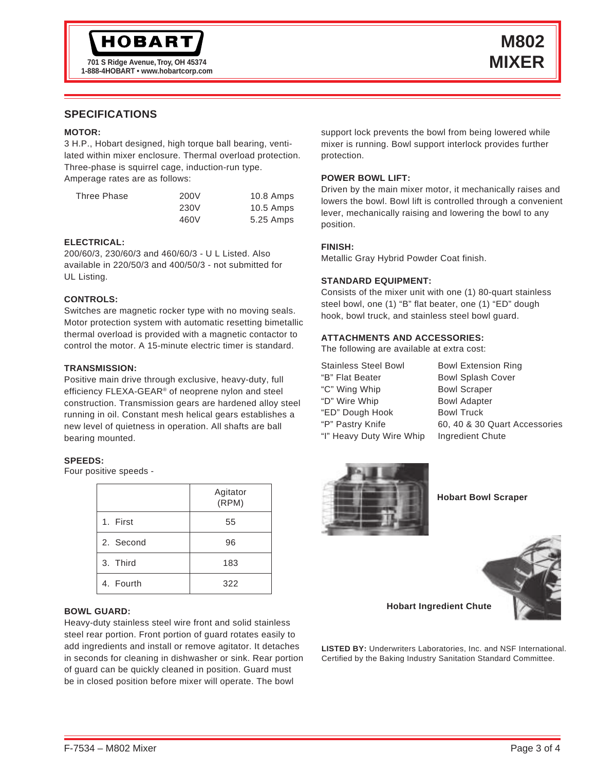## **SPECIFICATIONS**

#### **MOTOR:**

3 H.P., Hobart designed, high torque ball bearing, ventilated within mixer enclosure. Thermal overload protection. Three-phase is squirrel cage, induction-run type. Amperage rates are as follows:

| Three Phase | 200V | $10.8$ Amps |
|-------------|------|-------------|
|             | 230V | $10.5$ Amps |
|             | 460V | 5.25 Amps   |

#### **ELECTRICAL:**

200/60/3, 230/60/3 and 460/60/3 - U L Listed. Also available in 220/50/3 and 400/50/3 - not submitted for UL Listing.

#### **CONTROLS:**

Switches are magnetic rocker type with no moving seals. Motor protection system with automatic resetting bimetallic thermal overload is provided with a magnetic contactor to control the motor. A 15-minute electric timer is standard.

#### **TRANSMISSION:**

Positive main drive through exclusive, heavy-duty, full efficiency FLEXA-GEAR® of neoprene nylon and steel construction. Transmission gears are hardened alloy steel running in oil. Constant mesh helical gears establishes a new level of quietness in operation. All shafts are ball bearing mounted.

#### **SPEEDS:**

Four positive speeds -

|           | Agitator<br>(RPM) |
|-----------|-------------------|
| 1. First  | 55                |
| 2. Second | 96                |
| 3. Third  | 183               |
| 4. Fourth | 322               |

#### **BOWL GUARD:**

Heavy-duty stainless steel wire front and solid stainless steel rear portion. Front portion of guard rotates easily to add ingredients and install or remove agitator. It detaches in seconds for cleaning in dishwasher or sink. Rear portion of guard can be quickly cleaned in position. Guard must be in closed position before mixer will operate. The bowl

support lock prevents the bowl from being lowered while mixer is running. Bowl support interlock provides further protection.

#### **POWER BOWL LIFT:**

Driven by the main mixer motor, it mechanically raises and lowers the bowl. Bowl lift is controlled through a convenient lever, mechanically raising and lowering the bowl to any position.

#### **FINISH:**

Metallic Gray Hybrid Powder Coat finish.

#### **STANDARD EQUIPMENT:**

Consists of the mixer unit with one (1) 80-quart stainless steel bowl, one (1) "B" flat beater, one (1) "ED" dough hook, bowl truck, and stainless steel bowl guard.

#### **ATTACHMENTS AND ACCESSORIES:**

The following are available at extra cost:

| <b>Stainless Steel Bowl</b> | <b>Bowl Extension Ring</b>    |
|-----------------------------|-------------------------------|
| "B" Flat Beater             | <b>Bowl Splash Cover</b>      |
| "C" Wing Whip               | <b>Bowl Scraper</b>           |
| "D" Wire Whip               | <b>Bowl Adapter</b>           |
| "ED" Dough Hook             | <b>Bowl Truck</b>             |
| "P" Pastry Knife            | 60, 40 & 30 Quart Accessories |
| "I" Heavy Duty Wire Whip    | Ingredient Chute              |
|                             |                               |



**Hobart Bowl Scraper**



**Hobart Ingredient Chute**

**LISTED BY:** Underwriters Laboratories, Inc. and NSF International. Certified by the Baking Industry Sanitation Standard Committee.